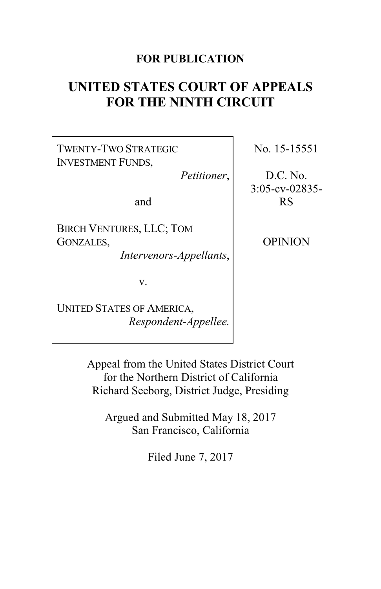## **FOR PUBLICATION**

# **UNITED STATES COURT OF APPEALS FOR THE NINTH CIRCUIT**

TWENTY-TWO STRATEGIC INVESTMENT FUNDS,

*Petitioner*,

and

BIRCH VENTURES, LLC; TOM GONZALES,

*Intervenors-Appellants*,

v.

UNITED STATES OF AMERICA, *Respondent-Appellee.* No. 15-15551

D.C. No. 3:05-cv-02835- RS

OPINION

Appeal from the United States District Court for the Northern District of California Richard Seeborg, District Judge, Presiding

Argued and Submitted May 18, 2017 San Francisco, California

Filed June 7, 2017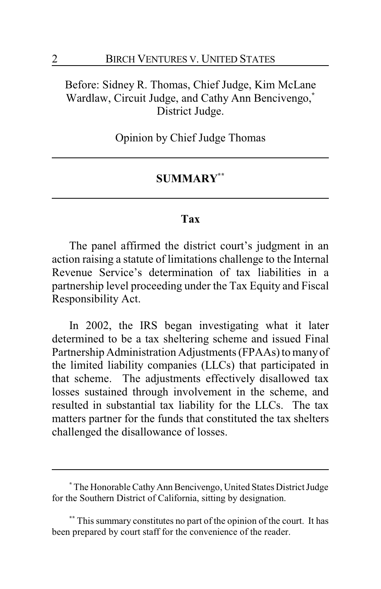# Before: Sidney R. Thomas, Chief Judge, Kim McLane Wardlaw, Circuit Judge, and Cathy Ann Bencivengo,**\*** District Judge.

Opinion by Chief Judge Thomas

## **SUMMARY\*\***

## **Tax**

The panel affirmed the district court's judgment in an action raising a statute of limitations challenge to the Internal Revenue Service's determination of tax liabilities in a partnership level proceeding under the Tax Equity and Fiscal Responsibility Act.

In 2002, the IRS began investigating what it later determined to be a tax sheltering scheme and issued Final Partnership Administration Adjustments (FPAAs) to manyof the limited liability companies (LLCs) that participated in that scheme. The adjustments effectively disallowed tax losses sustained through involvement in the scheme, and resulted in substantial tax liability for the LLCs. The tax matters partner for the funds that constituted the tax shelters challenged the disallowance of losses.

<sup>&</sup>lt;sup>\*</sup> The Honorable Cathy Ann Bencivengo, United States District Judge for the Southern District of California, sitting by designation.

**<sup>\*\*</sup>** This summary constitutes no part of the opinion of the court. It has been prepared by court staff for the convenience of the reader.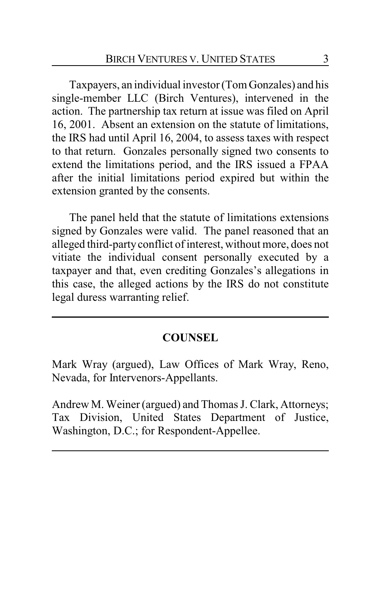Taxpayers, an individual investor (Tom Gonzales) and his single-member LLC (Birch Ventures), intervened in the action. The partnership tax return at issue was filed on April 16, 2001. Absent an extension on the statute of limitations, the IRS had until April 16, 2004, to assess taxes with respect to that return. Gonzales personally signed two consents to extend the limitations period, and the IRS issued a FPAA after the initial limitations period expired but within the extension granted by the consents.

The panel held that the statute of limitations extensions signed by Gonzales were valid. The panel reasoned that an alleged third-partyconflict of interest, without more, does not vitiate the individual consent personally executed by a taxpayer and that, even crediting Gonzales's allegations in this case, the alleged actions by the IRS do not constitute legal duress warranting relief.

### **COUNSEL**

Mark Wray (argued), Law Offices of Mark Wray, Reno, Nevada, for Intervenors-Appellants.

Andrew M. Weiner (argued) and Thomas J. Clark, Attorneys; Tax Division, United States Department of Justice, Washington, D.C.; for Respondent-Appellee.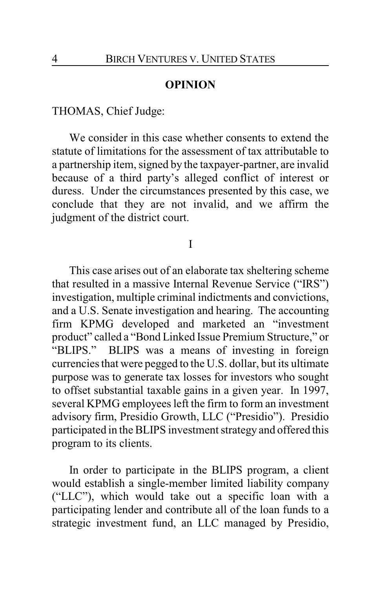#### **OPINION**

### THOMAS, Chief Judge:

We consider in this case whether consents to extend the statute of limitations for the assessment of tax attributable to a partnership item, signed by the taxpayer-partner, are invalid because of a third party's alleged conflict of interest or duress. Under the circumstances presented by this case, we conclude that they are not invalid, and we affirm the judgment of the district court.

#### I

This case arises out of an elaborate tax sheltering scheme that resulted in a massive Internal Revenue Service ("IRS") investigation, multiple criminal indictments and convictions, and a U.S. Senate investigation and hearing. The accounting firm KPMG developed and marketed an "investment product" called a "Bond Linked Issue Premium Structure," or "BLIPS." BLIPS was a means of investing in foreign currencies that were pegged to the U.S. dollar, but its ultimate purpose was to generate tax losses for investors who sought to offset substantial taxable gains in a given year. In 1997, several KPMG employees left the firm to form an investment advisory firm, Presidio Growth, LLC ("Presidio"). Presidio participated in the BLIPS investment strategy and offered this program to its clients.

In order to participate in the BLIPS program, a client would establish a single-member limited liability company ("LLC"), which would take out a specific loan with a participating lender and contribute all of the loan funds to a strategic investment fund, an LLC managed by Presidio,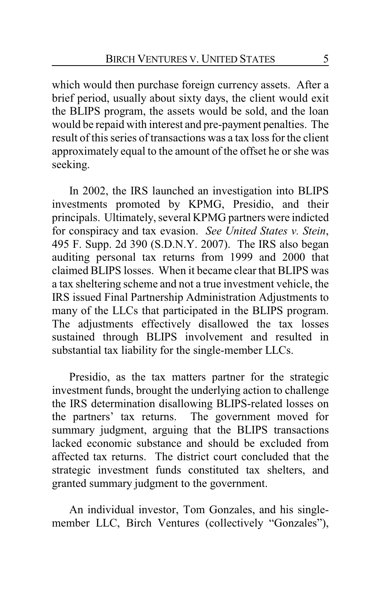which would then purchase foreign currency assets. After a brief period, usually about sixty days, the client would exit the BLIPS program, the assets would be sold, and the loan would be repaid with interest and pre-payment penalties. The result of this series of transactions was a tax loss for the client approximately equal to the amount of the offset he or she was seeking.

In 2002, the IRS launched an investigation into BLIPS investments promoted by KPMG, Presidio, and their principals. Ultimately, several KPMG partners were indicted for conspiracy and tax evasion. *See United States v. Stein*, 495 F. Supp. 2d 390 (S.D.N.Y. 2007). The IRS also began auditing personal tax returns from 1999 and 2000 that claimed BLIPS losses. When it became clear that BLIPS was a tax sheltering scheme and not a true investment vehicle, the IRS issued Final Partnership Administration Adjustments to many of the LLCs that participated in the BLIPS program. The adjustments effectively disallowed the tax losses sustained through BLIPS involvement and resulted in substantial tax liability for the single-member LLCs.

Presidio, as the tax matters partner for the strategic investment funds, brought the underlying action to challenge the IRS determination disallowing BLIPS-related losses on the partners' tax returns. The government moved for summary judgment, arguing that the BLIPS transactions lacked economic substance and should be excluded from affected tax returns. The district court concluded that the strategic investment funds constituted tax shelters, and granted summary judgment to the government.

An individual investor, Tom Gonzales, and his singlemember LLC, Birch Ventures (collectively "Gonzales"),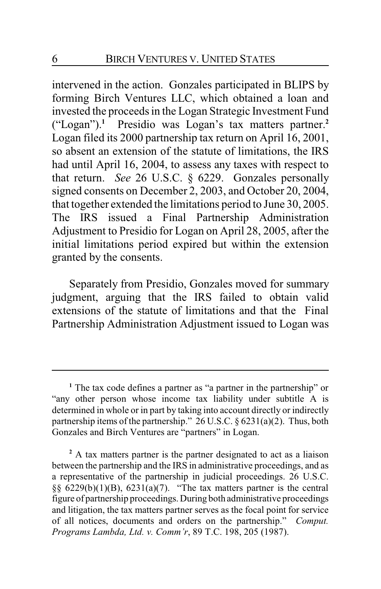intervened in the action. Gonzales participated in BLIPS by forming Birch Ventures LLC, which obtained a loan and invested the proceeds in the Logan Strategic Investment Fund ("Logan").**<sup>1</sup>** Presidio was Logan's tax matters partner.**<sup>2</sup>** Logan filed its 2000 partnership tax return on April 16, 2001, so absent an extension of the statute of limitations, the IRS had until April 16, 2004, to assess any taxes with respect to that return. *See* 26 U.S.C. § 6229. Gonzales personally signed consents on December 2, 2003, and October 20, 2004, that together extended the limitations period to June 30, 2005. The IRS issued a Final Partnership Administration Adjustment to Presidio for Logan on April 28, 2005, after the initial limitations period expired but within the extension granted by the consents.

Separately from Presidio, Gonzales moved for summary judgment, arguing that the IRS failed to obtain valid extensions of the statute of limitations and that the Final Partnership Administration Adjustment issued to Logan was

**<sup>1</sup>** The tax code defines a partner as "a partner in the partnership" or "any other person whose income tax liability under subtitle A is determined in whole or in part by taking into account directly or indirectly partnership items of the partnership." 26 U.S.C. § 6231(a)(2). Thus, both Gonzales and Birch Ventures are "partners" in Logan.

**<sup>2</sup>** A tax matters partner is the partner designated to act as a liaison between the partnership and the IRS in administrative proceedings, and as a representative of the partnership in judicial proceedings. 26 U.S.C. §§  $6229(b)(1)(B)$ ,  $6231(a)(7)$ . "The tax matters partner is the central figure of partnership proceedings. During both administrative proceedings and litigation, the tax matters partner serves as the focal point for service of all notices, documents and orders on the partnership." *Comput. Programs Lambda, Ltd. v. Comm'r*, 89 T.C. 198, 205 (1987).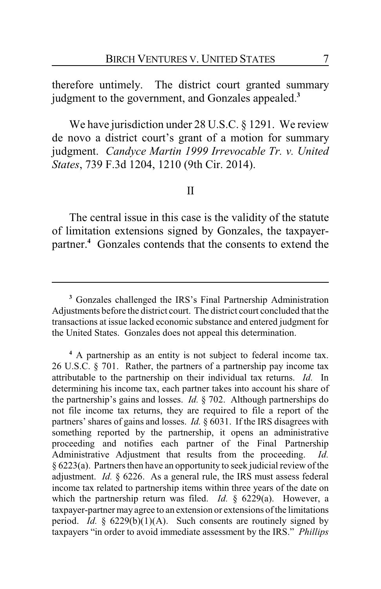therefore untimely. The district court granted summary judgment to the government, and Gonzales appealed.**<sup>3</sup>**

We have jurisdiction under 28 U.S.C. § 1291. We review de novo a district court's grant of a motion for summary judgment. *Candyce Martin 1999 Irrevocable Tr. v. United States*, 739 F.3d 1204, 1210 (9th Cir. 2014).

#### II

The central issue in this case is the validity of the statute of limitation extensions signed by Gonzales, the taxpayerpartner.**<sup>4</sup>** Gonzales contends that the consents to extend the

**<sup>3</sup>** Gonzales challenged the IRS's Final Partnership Administration Adjustments before the district court. The district court concluded that the transactions at issue lacked economic substance and entered judgment for the United States. Gonzales does not appeal this determination.

**<sup>4</sup>** A partnership as an entity is not subject to federal income tax. 26 U.S.C.  $\S$  701. Rather, the partners of a partnership pay income tax attributable to the partnership on their individual tax returns. *Id.* In determining his income tax, each partner takes into account his share of the partnership's gains and losses. *Id.* § 702. Although partnerships do not file income tax returns, they are required to file a report of the partners' shares of gains and losses. *Id.* § 6031. If the IRS disagrees with something reported by the partnership, it opens an administrative proceeding and notifies each partner of the Final Partnership Administrative Adjustment that results from the proceeding. *Id.*  $§ 6223(a)$ . Partners then have an opportunity to seek judicial review of the adjustment. *Id.* § 6226. As a general rule, the IRS must assess federal income tax related to partnership items within three years of the date on which the partnership return was filed. *Id.* § 6229(a). However, a taxpayer-partner may agree to an extension or extensions ofthe limitations period. *Id.* § 6229(b)(1)(A). Such consents are routinely signed by taxpayers "in order to avoid immediate assessment by the IRS." *Phillips*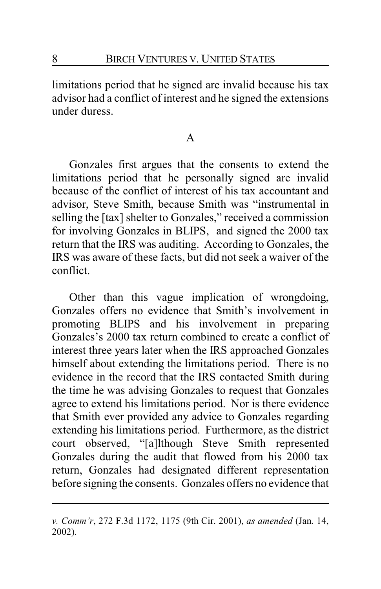limitations period that he signed are invalid because his tax advisor had a conflict of interest and he signed the extensions under duress.

#### A

Gonzales first argues that the consents to extend the limitations period that he personally signed are invalid because of the conflict of interest of his tax accountant and advisor, Steve Smith, because Smith was "instrumental in selling the [tax] shelter to Gonzales," received a commission for involving Gonzales in BLIPS, and signed the 2000 tax return that the IRS was auditing. According to Gonzales, the IRS was aware of these facts, but did not seek a waiver of the conflict.

Other than this vague implication of wrongdoing, Gonzales offers no evidence that Smith's involvement in promoting BLIPS and his involvement in preparing Gonzales's 2000 tax return combined to create a conflict of interest three years later when the IRS approached Gonzales himself about extending the limitations period. There is no evidence in the record that the IRS contacted Smith during the time he was advising Gonzales to request that Gonzales agree to extend his limitations period. Nor is there evidence that Smith ever provided any advice to Gonzales regarding extending his limitations period. Furthermore, as the district court observed, "[a]lthough Steve Smith represented Gonzales during the audit that flowed from his 2000 tax return, Gonzales had designated different representation before signing the consents. Gonzales offers no evidence that

*v. Comm'r*, 272 F.3d 1172, 1175 (9th Cir. 2001), *as amended* (Jan. 14, 2002).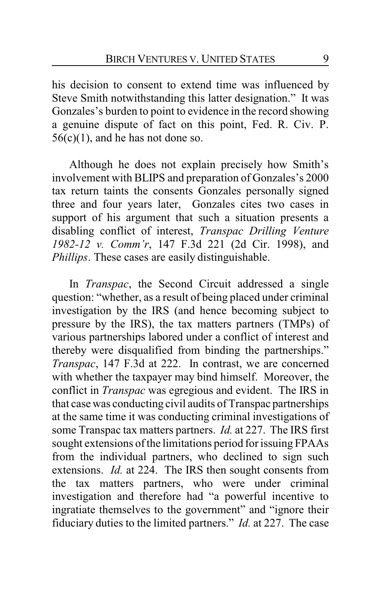his decision to consent to extend time was influenced by Steve Smith notwithstanding this latter designation." It was Gonzales's burden to point to evidence in the record showing a genuine dispute of fact on this point, Fed. R. Civ. P.  $56(c)(1)$ , and he has not done so.

Although he does not explain precisely how Smith's involvement with BLIPS and preparation of Gonzales's 2000 tax return taints the consents Gonzales personally signed three and four years later, Gonzales cites two cases in support of his argument that such a situation presents a disabling conflict of interest, *Transpac Drilling Venture 1982-12 v. Comm'r*, 147 F.3d 221 (2d Cir. 1998), and *Phillips*. These cases are easily distinguishable.

In *Transpac*, the Second Circuit addressed a single question: "whether, as a result of being placed under criminal investigation by the IRS (and hence becoming subject to pressure by the IRS), the tax matters partners (TMPs) of various partnerships labored under a conflict of interest and thereby were disqualified from binding the partnerships." *Transpac*, 147 F.3d at 222. In contrast, we are concerned with whether the taxpayer may bind himself. Moreover, the conflict in *Transpac* was egregious and evident. The IRS in that case was conducting civil audits of Transpac partnerships at the same time it was conducting criminal investigations of some Transpac tax matters partners. *Id.* at 227. The IRS first sought extensions of the limitations period for issuing FPAAs from the individual partners, who declined to sign such extensions. *Id.* at 224. The IRS then sought consents from the tax matters partners, who were under criminal investigation and therefore had "a powerful incentive to ingratiate themselves to the government" and "ignore their fiduciary duties to the limited partners." *Id.* at 227. The case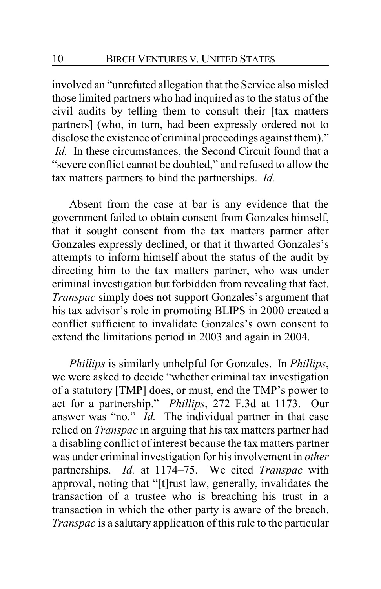involved an "unrefuted allegation that the Service also misled those limited partners who had inquired as to the status of the civil audits by telling them to consult their [tax matters partners] (who, in turn, had been expressly ordered not to disclose the existence of criminal proceedings against them)." *Id.* In these circumstances, the Second Circuit found that a "severe conflict cannot be doubted," and refused to allow the tax matters partners to bind the partnerships. *Id.*

Absent from the case at bar is any evidence that the government failed to obtain consent from Gonzales himself, that it sought consent from the tax matters partner after Gonzales expressly declined, or that it thwarted Gonzales's attempts to inform himself about the status of the audit by directing him to the tax matters partner, who was under criminal investigation but forbidden from revealing that fact. *Transpac* simply does not support Gonzales's argument that his tax advisor's role in promoting BLIPS in 2000 created a conflict sufficient to invalidate Gonzales's own consent to extend the limitations period in 2003 and again in 2004.

*Phillips* is similarly unhelpful for Gonzales. In *Phillips*, we were asked to decide "whether criminal tax investigation of a statutory [TMP] does, or must, end the TMP's power to act for a partnership." *Phillips*, 272 F.3d at 1173. Our answer was "no." *Id.* The individual partner in that case relied on *Transpac* in arguing that his tax matters partner had a disabling conflict of interest because the tax matters partner was under criminal investigation for his involvement in *other* partnerships. *Id.* at 1174–75. We cited *Transpac* with approval, noting that "[t]rust law, generally, invalidates the transaction of a trustee who is breaching his trust in a transaction in which the other party is aware of the breach. *Transpac* is a salutary application of this rule to the particular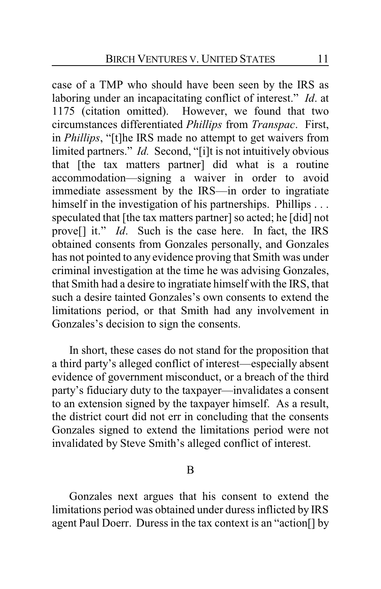case of a TMP who should have been seen by the IRS as laboring under an incapacitating conflict of interest." *Id*. at 1175 (citation omitted). However, we found that two circumstances differentiated *Phillips* from *Transpac*. First, in *Phillips*, "[t]he IRS made no attempt to get waivers from limited partners." *Id.* Second, "[i]t is not intuitively obvious that [the tax matters partner] did what is a routine accommodation—signing a waiver in order to avoid immediate assessment by the IRS—in order to ingratiate himself in the investigation of his partnerships. Phillips . . . speculated that [the tax matters partner] so acted; he [did] not prove[] it." *Id*. Such is the case here. In fact, the IRS obtained consents from Gonzales personally, and Gonzales has not pointed to any evidence proving that Smith was under criminal investigation at the time he was advising Gonzales, that Smith had a desire to ingratiate himself with the IRS, that such a desire tainted Gonzales's own consents to extend the limitations period, or that Smith had any involvement in Gonzales's decision to sign the consents.

In short, these cases do not stand for the proposition that a third party's alleged conflict of interest—especially absent evidence of government misconduct, or a breach of the third party's fiduciary duty to the taxpayer—invalidates a consent to an extension signed by the taxpayer himself. As a result, the district court did not err in concluding that the consents Gonzales signed to extend the limitations period were not invalidated by Steve Smith's alleged conflict of interest.

B

Gonzales next argues that his consent to extend the limitations period was obtained under duress inflicted by IRS agent Paul Doerr. Duress in the tax context is an "action[] by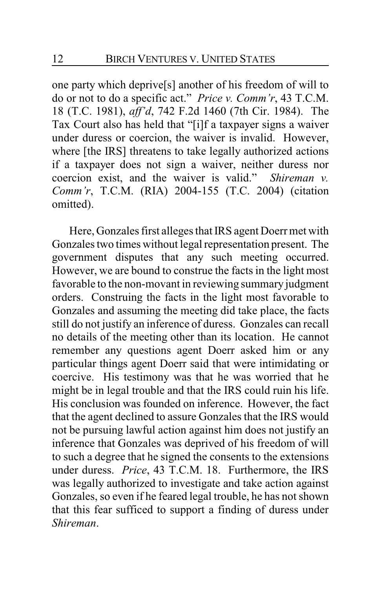one party which deprive[s] another of his freedom of will to do or not to do a specific act." *Price v. Comm'r*, 43 T.C.M. 18 (T.C. 1981), *aff'd*, 742 F.2d 1460 (7th Cir. 1984). The Tax Court also has held that "[i]f a taxpayer signs a waiver under duress or coercion, the waiver is invalid. However, where [the IRS] threatens to take legally authorized actions if a taxpayer does not sign a waiver, neither duress nor coercion exist, and the waiver is valid." *Shireman v. Comm'r*, T.C.M. (RIA) 2004-155 (T.C. 2004) (citation omitted).

Here, Gonzales first alleges that IRS agent Doerr met with Gonzales two times without legal representation present. The government disputes that any such meeting occurred. However, we are bound to construe the facts in the light most favorable to the non-movant in reviewing summary judgment orders. Construing the facts in the light most favorable to Gonzales and assuming the meeting did take place, the facts still do not justify an inference of duress. Gonzales can recall no details of the meeting other than its location. He cannot remember any questions agent Doerr asked him or any particular things agent Doerr said that were intimidating or coercive. His testimony was that he was worried that he might be in legal trouble and that the IRS could ruin his life. His conclusion was founded on inference. However, the fact that the agent declined to assure Gonzales that the IRS would not be pursuing lawful action against him does not justify an inference that Gonzales was deprived of his freedom of will to such a degree that he signed the consents to the extensions under duress. *Price*, 43 T.C.M. 18. Furthermore, the IRS was legally authorized to investigate and take action against Gonzales, so even if he feared legal trouble, he has not shown that this fear sufficed to support a finding of duress under *Shireman*.